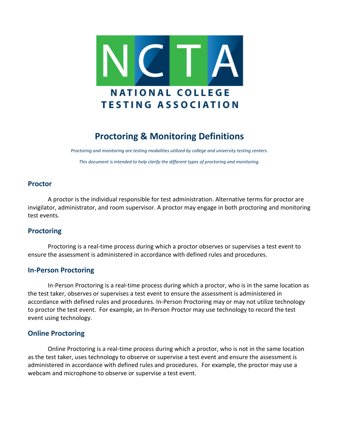

# **Proctoring & Monitoring Definitions**

*Proctoring and monitoring are testing modalities utilized by college and university testing centers. This document is intended to help clarify the different types of proctoring and monitoring.*

### **Proctor**

A proctor is the individual responsible for test administration. Alternative terms for proctor are invigilator, administrator, and room supervisor. A proctor may engage in both proctoring and monitoring test events.

### **Proctoring**

Proctoring is a real-time process during which a proctor observes or supervises a test event to ensure the assessment is administered in accordance with defined rules and procedures.

### **In-Person Proctoring**

In-Person Proctoring is a real-time process during which a proctor, who is in the same location as the test taker, observes or supervises a test event to ensure the assessment is administered in accordance with defined rules and procedures. In-Person Proctoring may or may not utilize technology to proctor the test event. For example, an In-Person Proctor may use technology to record the test event using technology.

## **Online Proctoring**

Online Proctoring is a real-time process during which a proctor, who is not in the same location as the test taker, uses technology to observe or supervise a test event and ensure the assessment is administered in accordance with defined rules and procedures. For example, the proctor may use a webcam and microphone to observe or supervise a test event.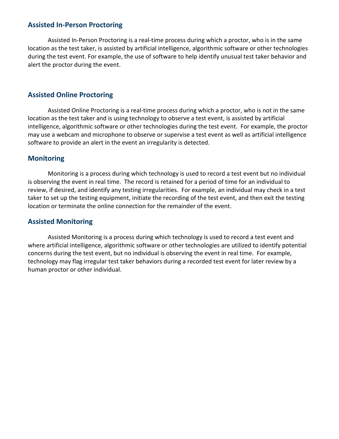## **Assisted In-Person Proctoring**

Assisted In-Person Proctoring is a real-time process during which a proctor, who is in the same location as the test taker, is assisted by artificial intelligence, algorithmic software or other technologies during the test event. For example, the use of software to help identify unusual test taker behavior and alert the proctor during the event.

## **Assisted Online Proctoring**

Assisted Online Proctoring is a real-time process during which a proctor, who is not in the same location as the test taker and is using technology to observe a test event, is assisted by artificial intelligence, algorithmic software or other technologies during the test event. For example, the proctor may use a webcam and microphone to observe or supervise a test event as well as artificial intelligence software to provide an alert in the event an irregularity is detected.

### **Monitoring**

Monitoring is a process during which technology is used to record a test event but no individual is observing the event in real time. The record is retained for a period of time for an individual to review, if desired, and identify any testing irregularities. For example, an individual may check in a test taker to set up the testing equipment, initiate the recording of the test event, and then exit the testing location or terminate the online connection for the remainder of the event.

## **Assisted Monitoring**

Assisted Monitoring is a process during which technology is used to record a test event and where artificial intelligence, algorithmic software or other technologies are utilized to identify potential concerns during the test event, but no individual is observing the event in real time. For example, technology may flag irregular test taker behaviors during a recorded test event for later review by a human proctor or other individual.